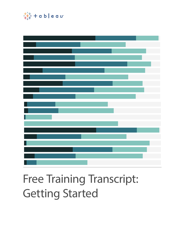

# Free Training Transcript: Getting Started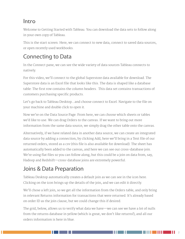#### Intro

Welcome to Getting Started with Tableau. You can download the data sets to follow along in your own copy of Tableau.

This is the start screen. Here, we can connect to new data, connect to saved data sources, or open recently used workbooks.

## Connecting to Data

In the Connect pane, we can see the wide variety of data sources Tableau connects to natively.

For this video, we'll connect to the global Superstore data available for download. The Superstore data is an Excel file that looks like this. The data is shaped like a database table: The first row contains the column headers. This data set contains transactions of customers purchasing specific products.

Let's go back to Tableau Desktop…and choose connect to Excel. Navigate to the file on your machine and double click to open it.

Now we're on the Data Source Page. From here, we can choose which sheets or tables we'd like to use. We can drag Orders to the canvas. If we want to bring out more information from the same data source, we simply drag the other table onto the canvas.

Alternatively, if we have related data in another data source, we can create an integrated data source by adding a connection, by clicking Add, here we'll bring in a Text file of our returned orders, stored as a csv (this file is also available for download). The sheet has automatically been added to the canvas, and here we can see our cross-database join. We're using flat files so you can follow along, but this could be a join on data from, say, Hadoop and Redshift—cross-database joins are extremely powerful.

# Joins & Data Preparation

Tableau Desktop automatically creates a default join as we can see in the icon here. Clicking on the icon brings up the details of the join, and we can edit it directly.

We'll chose a left join, so we get all the information from the Orders table, and only bring in relevant Returns information for transactions that were returned. It's already based on order ID as the join clause, but we could change this if desired.

The grid, below, allows us to verify what data we have—we can see we have a lot of nulls from the returns database in yellow (which is great, we don't like returns!), and all our orders information is here in blue.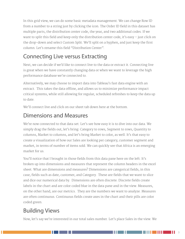In this grid view, we can do some basic metadata management. We can change Row ID from a number to a string just by clicking the icon. The Order ID field in this dataset has multiple parts, the distribution center code, the year, and two additional codes. If we want to split this field and keep only the distribution center code, it's easy – just click on the drop-down and select Custom Split. We'll split on a hyphen, and just keep the first column. Let's rename this field "Distribution Center".

### Connecting Live versus Extracting

Next, we can decide if we'd like to connect live to the data or extract it. Connecting live is great when we have constantly changing data or when we want to leverage the high performance database we're connected to.

Alternatively, we may choose to import data into Tableau's fast data engine with an extract. This takes the data offline, and allows us to minimize performance impact critical systems, while still allowing for regular, scheduled refreshes to keep the data up to date.

We'll connect live and click on our sheet tab down here at the bottom.

#### Dimensions and Measures

We're now connected to that data set. Let's see how easy it is to dive into our data. We simply drag the fields out, let's bring: Category to rows, Segment to rows, Quantity to columns, Market to columns, and let's bring Market to color, as well. It's that easy to create a visualization of how our Sales are looking per category, customer segment and market, in terms of number of items sold. We can quickly see that Africa is an emerging market for us.

You'll notice that I brought in those fields from this data pane here on the left. It's broken up into dimensions and measures that represent the column headers in the excel sheet. What are dimensions and measures? Dimensions are categorical fields, in this case, fields such as date, customer, and Category. These are fields that we want to slice and dice our numerical data by. Dimensions are often discrete. Discrete fields create labels in the chart and are color coded blue in the data pane and in the view. Measures, on the other hand, are our metrics. They are the numbers we want to analyze. Measures are often continuous. Continuous fields create axes in the chart and their pills are color coded green.

# Building Views

Now, let's say we're interested in our total sales number. Let's place Sales in the view. We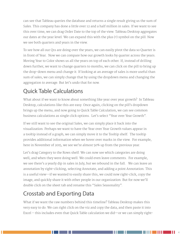can see that Tableau queries the database and returns a single result giving us the sum of Sales. This company has done a little over 12 and a half million in sales. If we want to see this over time, we can drag Order Date to the top of the view. Tableau Desktop aggregates our dates at the year level. We can expand this with the plus (+) symbol on the pill. Now we see both quarters and years in the view.

To see how all our Q1s are doing over the years, we can easily pivot the data so Quarter is in front of Year. Now we can compare how our growth looks by quarter across the years. Moving Year to Color shows us all the years on top of each other. If, instead of drilling down further, we want to change quarters to months, we can click on the pill to bring up the drop-down menu and change it. If looking at an average of sales is more useful than sum of sales, we can simply change that by using the dropdown menu and changing the aggregation to average. But let's undo that for now.

# Quick Table Calculations

What about if we want to know about something like year over year growth? In Tableau Desktop, calculations like this are easy. Once again, clicking on the pill's dropdown brings up the menu, and now going to Quick Table Calculation, we can see common business calculations as single click options. Let's select "Year over Year Growth".

If we still want to see the original Sales, we can simply place it back into the visualization. Perhaps we want to have the Year over Year Growth values appear in a tooltip instead of a graph, we can simply move it to the Tooltip shelf. The tooltip provides additional information when we hover over marks in the view. For example, here in November of 2015, we see we're almost 50% up from the previous year.

Let's drag Category to the Rows shelf. We can now see which categories are doing well, and when they were doing well. We could even leave comments. For example, we see there's a yearly dip in sales in July, but we rebound in the fall. We can leave an annotation by right-clicking, selecting Annotate, and adding a point Annotation. This is a useful view--if we wanted to easily share this, we could now right-click, copy the image, and quickly share it with other people in our organization. But for now we'll double click on the sheet tab and rename this "Sales Seasonality".

# Crosstab and Exporting Data

What if we want the raw numbers behind this timeline? Tableau Desktop makes this very easy to do. We can right click on the viz and copy the data, and then paste it into Excel – this includes even that Quick Table calculation we did—or we can simply right-

. . . . . . . . . .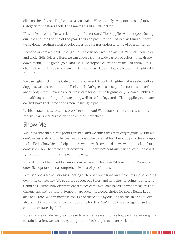click on the tab and "Duplicate as a Crosstab". We can easily swap our axes and move Category to the Rows shelf. Let's make this fit a little better.

This looks nice, but I'm worried that profits for our Office Supplies weren't good during our sale and into the end of the year. Let's add profit to the crosstab and find out how we're doing. Adding Profit to color gives us a clearer understanding of overall trends.

These colors are a bit pale, though, so let's edit how we display this. We'll click on color and click "Edit Colors". Here, we can choose from a wide variety of colors in the dropdown menu, I like green-gold, and we'll use stepped colors and make 6 of them. Let's change the mark type to square and turn on mark labels. Now we have a highlight table for profit.

We can right click on the Category pill and select Show Highlighter – if we select Office Supplies, we can see that the fall of 2015 is dark green, so our profits for those months are strong. Great! Hovering over those categories in the highlighter, we can quickly see that although our fall profits are doing well in technology and office supplies, furniture doesn't have that same dark green upswing in profit.

Is this happening across all stores? Let's find out! We'll double click on the sheet tab and rename this sheet "Crosstab" and create a new sheet.

#### Show Me

We know that furniture's profits are bad, and we think this may vary regionally. But we don't necessarily know the best way to view the data. Tableau Desktop provides a simple tool called "Show Me" to help in cases where we know the data we want to look at, but don't know how to create an effective view. "Show Me" contains a list of common chart types that can help you start your analysis.

Note: it's possible to build an enormous variety of charts in Tableau – Show Me is the one-click options, not a comprehensive list of possibilities.

Let's see Show Me at work by selecting different dimensions and measures while holding down the control key. We're curious about our Sales, and how they're doing in different Countries. Notice how different chart types come available based on what measures and dimensions we've chosen. Symbol maps look like a good choice for these fields. Let's also add State. We can increase the size of these dots by clicking on the size shelf, let's also adjust the transparency and add some borders. We'll hide the size legend, and let's color these states by Profit.

Note that we can do geographic search here  $-$  if we want to see how profits are doing in a certain location, we can navigate right to it. Let's unpin to zoom back out.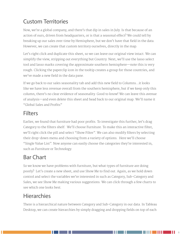# Custom Territories

Now, we're a global company, and there's that dip in sales in July. Is that because of an action of ours, driven from headquarters, or is that a seasonal effect? We could tell by breaking up our sales over time by Hemisphere, but we don't have that field in the data. However, we can create that custom territory ourselves, directly in the map.

Let's right click and duplicate this sheet, so we can leave our original view intact. We can simplify the view, stripping out everything but Country. Next, we'll use the lasso select tool and lasso marks covering the approximate southern hemisphere—note this is very rough. Clicking the paperclip icon in the tooltip creates a group for those countries, and we've made a new field in the data pane.

If we go back to our sales seasonality tab and add this new field to Columns…it looks like we have less revenue overall from the southern hemisphere, but if we keep only this column, there's no clear evidence of seasonality. Good to know! We can leave this avenue of analysis—and even delete this sheet and head back to our original map. We'll name it "Global Sales and Profits"

#### **Filters**

Earlier, we found that furniture had poor profits. To investigate this further, let's drag Category to the filters shelf. We'll choose Furniture. To make this an interactive filter, we'll right click the pill and select "Show Filter". We can also modify filters by selecting their drop-down menu and choosing from a variety of options. Here we'll choose "Single Value List". Now anyone can easily choose the categories they're interested in, such as Furniture or Technology.

### Bar Chart

So we know we have problems with furniture, but what types of furniture are doing poorly? Let's create a new sheet, and use Show Me to find out. Again, as we hold down control and select the variables we're interested in such as Category, Sub-Category and Sales, we see Show Me making various suggestions. We can click through a few charts to see which one looks best.

#### **Hierarchies**

There is a hierarchical nature between Category and Sub-Category in our data. In Tableau Desktop, we can create hierarchies by simply dragging and dropping fields on top of each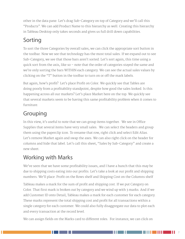other in the data pane. Let's drag Sub-Category on top of Category and we'll call this "Products". We can add Product Name to this hierarchy as well. Creating this hierarchy in Tableau Desktop only takes seconds and gives us full drill down capabilities.

# Sorting

To sort the three Categories by overall sales, we can click the appropriate sort button in the toolbar. Now we see that technology has the most total sales. If we expand out to see Sub-Category, we see that those bars aren't sorted. Let's sort again, this time using a quick sort from the axis, like so – note that the order of categories stayed the same and we're only sorting the bars WITHIN each category. We can see the actual sales values by clicking on the "T" button in the toolbar to turn on or off the mark labels.

But again, how's profit? Let's place Profit on Color. We quickly see that Tables are doing poorly from a profitability standpoint, despite how good the sales looked. Is this happening across all our markets? Let's place Market here on the top. We quickly see that several markets seem to be having this same profitability problem when it comes to furniture.

# Grouping

In this view, it's useful to note that we can group items together. We see in Office Supplies that several items have very small sales. We can select the headers and group them using the paperclip icon. To rename that row, right click and select Edit Alias. Let's remove Market again and swap the axes. We can also right click on the header for columns and hide that label. Let's call this sheet, "Sales by Sub-Category" and create a new sheet.

# Working with Marks

We've seen that we have some profitability issues, and I have a hunch that this may be due to shipping costs eating into our profits. Let's take a look at our profit and shipping numbers. We'll place: Profit on the Rows shelf and Shipping Cost on the Columns shelf

Tableau makes a mark for the sum of profit and shipping cost. If we put Category on Color. That first mark is broken out by category and we wind up with 3 marks. And if we add Customer ID onto Detail, Tableau makes a mark for each customer for each category. These marks represent the total shipping cost and profit for all transactions within a single category for each customer. We could also fully disaggregate our data to plot each and every transaction at the record level.

We can assign fields on the Marks card to different roles. For instance, we can click on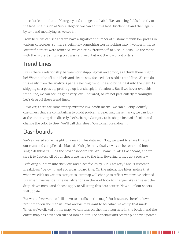the color icon in front of Category and change it to Label. We can bring fields directly to the label shelf, such as Sub-Category. We can edit this label by clicking and then again by text and modifying as we see fit.

From here, we can see that we have a significant number of customers with low profits in various categories, so there's definitely something worth looking into. I wonder if those low profit orders were returned. We can bring "returned" to Size. It looks like the mark with the highest shipping cost was returned, but not the low profit orders.

# Trend Lines

But is there a relationship between our shipping cost and profit, as I think there might be? We can take off our labels and size to stay focused. Let's add a trend line. We can do this easily from the analytics pane, selecting trend line and bringing it into the view. As shipping cost goes up, profits go up less sharply in furniture. But if we hover over this trend line, we can see it's got a very low R-squared, so it's not particularly meaningful. Let's drag off these trend lines.

However, there are some pretty extreme low-profit marks. We can quickly identify customers that are contributing to profit problems. Selecting these marks, we can look at the underlying data directly. Let's change Category to be shape instead of color, and change the color to Grey. We'll call this sheet "Customer Breakdown".

### **Dashboards**

We've created some insightful views of this data set. Now, we want to share this with our team and compile a dashboard. Multiple individual views can be combined into a single dashboard. Click the new dashboard tab. We'll name it Sales Dashboard, and we'll size it to Laptop. All of our sheets are here to the left. Hovering brings up a preview.

Let's drag our Map into the view, and place "Sales by Sub-Category" and "Customer Breakdown" below it, and add a dashboard title. On the interactive filter, notice that when we click on various categories, our map will change to reflect what we've selected. But what if we want all the visualizations in the workbook to change? We can select the drop-down menu and choose apply to All using this data source. Now all of our sheets will update.

But what if we want to drill down to details on the map? For instance, there's a lowprofit mark on the map in Texas and we may want to see what makes up that mark. When we've clicked on the map, we can turn on the filter icon here in the border, and the entire map has now been turned into a filter. The bar chart and scatter plot have updated